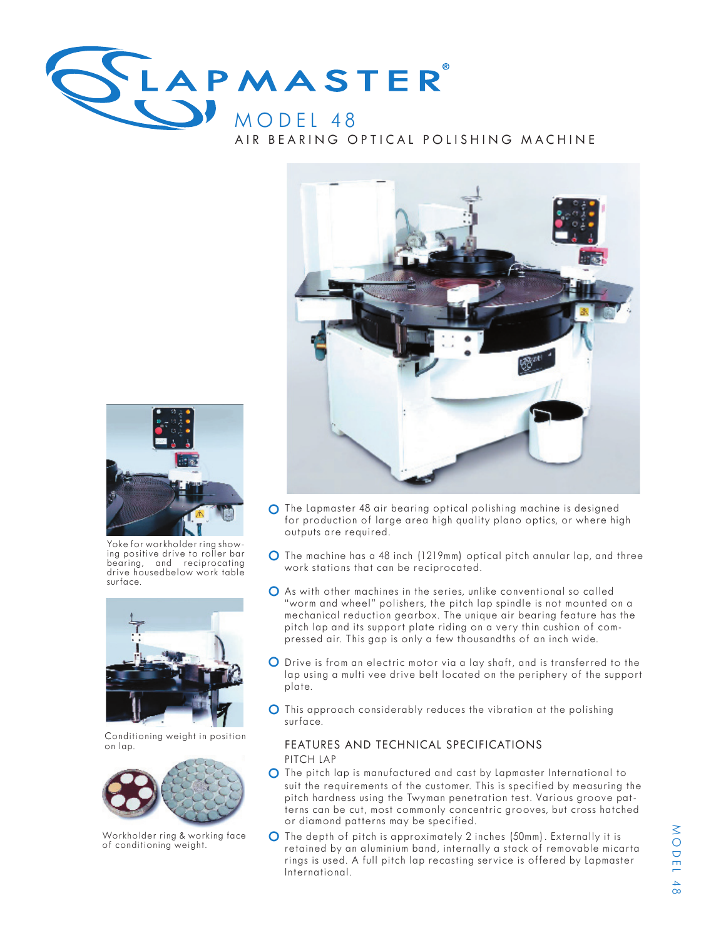





Yoke for workholder ring show- ing positive drive to roller bar bearing, and reciprocating drive housedbelow work table surface.



Conditioning weight in position on lap.



Workholder ring & working face of conditioning weight.

- O The Lapmaster 48 air bearing optical polishing machine is designed for production of large area high quality plano optics, or where high outputs are required.
- O The machine has a 48 inch (1219mm) optical pitch annular lap, and three work stations that can be reciprocated.
- O As with other machines in the series, unlike conventional so called "worm and wheel" polishers, the pitch lap spindle is not mounted on a mechanical reduction gearbox. The unique air bearing feature has the pressed air. This gap is only a few thousandths of an inch wide.
- O Drive is from an electric motor via a lay shaft, and is transferred to the lap using a multi vee drive belt located on the periphery of the support plate.
- O This approach considerably reduces the vibration at the polishing surface.

## FEATURES AND TECHNICAL SPECIFICATIONS PITCH LAP

- O The pitch lap is manufactured and cast by Lapmaster International to suit the requirements of the customer. This is specified by measuring the pitch hardness using the Twyman penetration test. Various groove pat- terns can be cut, most commonly concentric grooves, but cross hatched or diamond patterns may be specified.
- O The depth of pitch is approximately 2 inches (50mm). Externally it is retained by an aluminium band, internally a stack of removable micarta rings is used. A full pitch lap recasting service is offered by Lapmaster International.